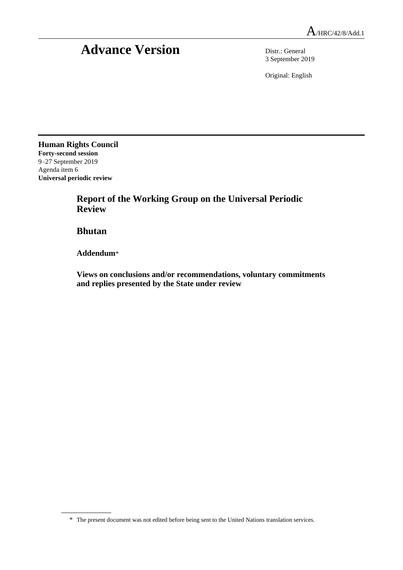# **Advance Version** Distr.: General

3 September 2019

Original: English

**Human Rights Council Forty-second session** 9–27 September 2019 Agenda item 6 **Universal periodic review**

> **Report of the Working Group on the Universal Periodic Review**

**Bhutan**

**Addendum**\*

**Views on conclusions and/or recommendations, voluntary commitments and replies presented by the State under review**

<sup>\*</sup> The present document was not edited before being sent to the United Nations translation services.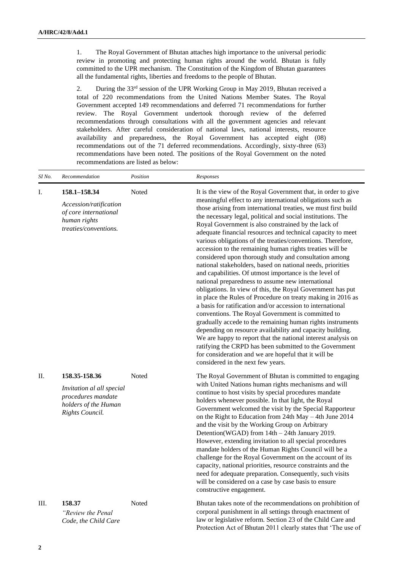1. The Royal Government of Bhutan attaches high importance to the universal periodic review in promoting and protecting human rights around the world. Bhutan is fully committed to the UPR mechanism. The Constitution of the Kingdom of Bhutan guarantees all the fundamental rights, liberties and freedoms to the people of Bhutan.

2. During the 33rd session of the UPR Working Group in May 2019, Bhutan received a total of 220 recommendations from the United Nations Member States. The Royal Government accepted 149 recommendations and deferred 71 recommendations for further review. The Royal Government undertook thorough review of the deferred recommendations through consultations with all the government agencies and relevant stakeholders. After careful consideration of national laws, national interests, resource availability and preparedness, the Royal Government has accepted eight (08) recommendations out of the 71 deferred recommendations. Accordingly, sixty-three (63) recommendations have been noted. The positions of the Royal Government on the noted recommendations are listed as below:

| SI No. | Recommendation                                                                                              | Position | Responses                                                                                                                                                                                                                                                                                                                                                                                                                                                                                                                                                                                                                                                                                                                                                                                                                                                                                                                                                                                                                                                                                                                                                                                                                                                                                                                                               |
|--------|-------------------------------------------------------------------------------------------------------------|----------|---------------------------------------------------------------------------------------------------------------------------------------------------------------------------------------------------------------------------------------------------------------------------------------------------------------------------------------------------------------------------------------------------------------------------------------------------------------------------------------------------------------------------------------------------------------------------------------------------------------------------------------------------------------------------------------------------------------------------------------------------------------------------------------------------------------------------------------------------------------------------------------------------------------------------------------------------------------------------------------------------------------------------------------------------------------------------------------------------------------------------------------------------------------------------------------------------------------------------------------------------------------------------------------------------------------------------------------------------------|
| I.     | 158.1-158.34<br>Accession/ratification<br>of core international<br>human rights<br>treaties/conventions.    | Noted    | It is the view of the Royal Government that, in order to give<br>meaningful effect to any international obligations such as<br>those arising from international treaties, we must first build<br>the necessary legal, political and social institutions. The<br>Royal Government is also constrained by the lack of<br>adequate financial resources and technical capacity to meet<br>various obligations of the treaties/conventions. Therefore,<br>accession to the remaining human rights treaties will be<br>considered upon thorough study and consultation among<br>national stakeholders, based on national needs, priorities<br>and capabilities. Of utmost importance is the level of<br>national preparedness to assume new international<br>obligations. In view of this, the Royal Government has put<br>in place the Rules of Procedure on treaty making in 2016 as<br>a basis for ratification and/or accession to international<br>conventions. The Royal Government is committed to<br>gradually accede to the remaining human rights instruments<br>depending on resource availability and capacity building.<br>We are happy to report that the national interest analysis on<br>ratifying the CRPD has been submitted to the Government<br>for consideration and we are hopeful that it will be<br>considered in the next few years. |
| П.     | 158.35-158.36<br>Invitation al all special<br>procedures mandate<br>holders of the Human<br>Rights Council. | Noted    | The Royal Government of Bhutan is committed to engaging<br>with United Nations human rights mechanisms and will<br>continue to host visits by special procedures mandate<br>holders whenever possible. In that light, the Royal<br>Government welcomed the visit by the Special Rapporteur<br>on the Right to Education from 24th May - 4th June 2014<br>and the visit by the Working Group on Arbitrary<br>Detention(WGAD) from 14th - 24th January 2019.<br>However, extending invitation to all special procedures<br>mandate holders of the Human Rights Council will be a<br>challenge for the Royal Government on the account of its<br>capacity, national priorities, resource constraints and the<br>need for adequate preparation. Consequently, such visits<br>will be considered on a case by case basis to ensure<br>constructive engagement.                                                                                                                                                                                                                                                                                                                                                                                                                                                                                               |
| Ш.     | 158.37<br>"Review the Penal<br>Code, the Child Care                                                         | Noted    | Bhutan takes note of the recommendations on prohibition of<br>corporal punishment in all settings through enactment of<br>law or legislative reform. Section 23 of the Child Care and<br>Protection Act of Bhutan 2011 clearly states that 'The use of                                                                                                                                                                                                                                                                                                                                                                                                                                                                                                                                                                                                                                                                                                                                                                                                                                                                                                                                                                                                                                                                                                  |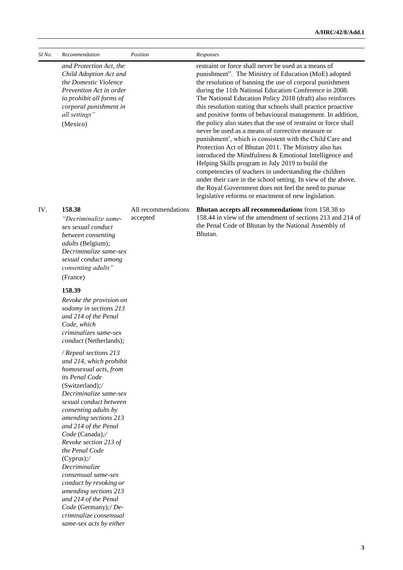| SI No. | Recommendation                                                                                                                                                                                                                                                                                                                                                                               | Position                        | Responses                                                                                                                                                                                                                                                                                                                                                                                                                                                                                                                                                                                                                                                                                                                                                                                                                                                                                                                                                                                                                              |
|--------|----------------------------------------------------------------------------------------------------------------------------------------------------------------------------------------------------------------------------------------------------------------------------------------------------------------------------------------------------------------------------------------------|---------------------------------|----------------------------------------------------------------------------------------------------------------------------------------------------------------------------------------------------------------------------------------------------------------------------------------------------------------------------------------------------------------------------------------------------------------------------------------------------------------------------------------------------------------------------------------------------------------------------------------------------------------------------------------------------------------------------------------------------------------------------------------------------------------------------------------------------------------------------------------------------------------------------------------------------------------------------------------------------------------------------------------------------------------------------------------|
|        | and Protection Act, the<br>Child Adoption Act and<br>the Domestic Violence<br>Prevention Act in order<br>to prohibit all forms of<br>corporal punishment in<br>all settings"<br>(Mexico)                                                                                                                                                                                                     |                                 | restraint or force shall never be used as a means of<br>punishment". The Ministry of Education (MoE) adopted<br>the resolution of banning the use of corporal punishment<br>during the 11th National Education Conference in 2008.<br>The National Education Policy 2018 (draft) also reinforces<br>this resolution stating that schools shall practice proactive<br>and positive forms of behavioural management. In addition,<br>the policy also states that the use of restraint or force shall<br>never be used as a means of corrective measure or<br>punishment', which is consistent with the Child Care and<br>Protection Act of Bhutan 2011. The Ministry also has<br>introduced the Mindfulness & Emotional Intelligence and<br>Helping Skills program in July 2019 to build the<br>competencies of teachers in understanding the children<br>under their care in the school setting. In view of the above,<br>the Royal Government does not feel the need to pursue<br>legislative reforms or enactment of new legislation. |
| IV.    | 158.38<br>"Decriminalize same-<br>sex sexual conduct<br>between consenting<br><i>adults</i> (Belgium);<br>Decriminalize same-sex<br>sexual conduct among<br>consenting adults"<br>(France)                                                                                                                                                                                                   | All recommendations<br>accepted | Bhutan accepts all recommendations from 158.38 to<br>158.44 in view of the amendment of sections 213 and 214 of<br>the Penal Code of Bhutan by the National Assembly of<br>Bhutan.                                                                                                                                                                                                                                                                                                                                                                                                                                                                                                                                                                                                                                                                                                                                                                                                                                                     |
|        |                                                                                                                                                                                                                                                                                                                                                                                              |                                 |                                                                                                                                                                                                                                                                                                                                                                                                                                                                                                                                                                                                                                                                                                                                                                                                                                                                                                                                                                                                                                        |
|        | 158.39<br>Revoke the provision on<br>sodomy in sections 213<br>and 214 of the Penal<br>Code, which<br>criminalizes same-sex<br>conduct (Netherlands);                                                                                                                                                                                                                                        |                                 |                                                                                                                                                                                                                                                                                                                                                                                                                                                                                                                                                                                                                                                                                                                                                                                                                                                                                                                                                                                                                                        |
|        | / Repeal sections 213<br>and 214, which prohibit<br>homosexual acts, from<br>its Penal Code<br>(Switzerland);/<br>Decriminalize same-sex<br>sexual conduct between<br>consenting adults by<br>amending sections 213<br>and 214 of the Penal<br>Code (Canada);/<br>Revoke section 213 of<br>the Penal Code<br>$(Cyprus)$ ;/<br>Decriminalize<br>consensual same-sex<br>conduct by revoking or |                                 |                                                                                                                                                                                                                                                                                                                                                                                                                                                                                                                                                                                                                                                                                                                                                                                                                                                                                                                                                                                                                                        |

*amending sections 213 and 214 of the Penal Code* (Germany)*;/ Decriminalize consensual same-sex acts by either* 

**3**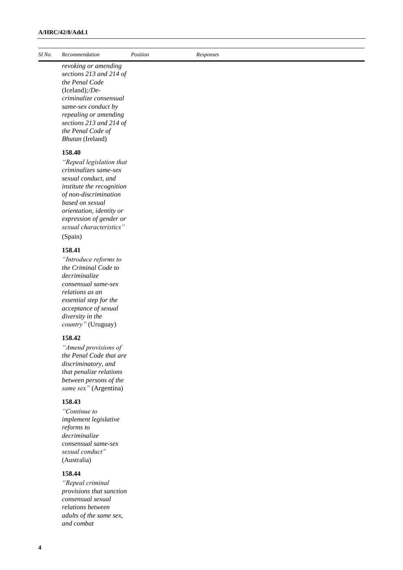| SI No. | Recommendation                                                                                                                                                                                                                                 | Position | Responses |
|--------|------------------------------------------------------------------------------------------------------------------------------------------------------------------------------------------------------------------------------------------------|----------|-----------|
|        | revoking or amending<br>sections 213 and 214 of<br>the Penal Code<br>$(Iceland);/De-$<br>criminalize consensual<br>same-sex conduct by<br>repealing or amending<br>sections 213 and 214 of<br>the Penal Code of<br>Bhutan (Ireland)            |          |           |
|        | 158.40                                                                                                                                                                                                                                         |          |           |
|        | "Repeal legislation that<br>criminalizes same-sex<br>sexual conduct, and<br>institute the recognition<br>of non-discrimination<br>based on sexual<br>orientation, identity or<br>expression of gender or<br>sexual characteristics"<br>(Spain) |          |           |
|        |                                                                                                                                                                                                                                                |          |           |
|        | 158.41<br>"Introduce reforms to<br>the Criminal Code to<br>decriminalize<br>consensual same-sex<br>relations as an<br>essential step for the<br>acceptance of sexual<br>diversity in the<br>country" (Uruguay)                                 |          |           |
|        | 158.42                                                                                                                                                                                                                                         |          |           |
|        | "Amend provisions of<br>the Penal Code that are<br>discriminatory, and<br>that penalize relations<br>between persons of the<br>same sex" (Argentina)                                                                                           |          |           |
|        | 158.43                                                                                                                                                                                                                                         |          |           |
|        | "Continue to<br>implement legislative<br>reforms to<br>decriminalize<br>consensual same-sex<br>sexual conduct"<br>(Australia)                                                                                                                  |          |           |

# **158.44**

*"Repeal criminal provisions that sanction consensual sexual relations between adults of the same sex, and combat*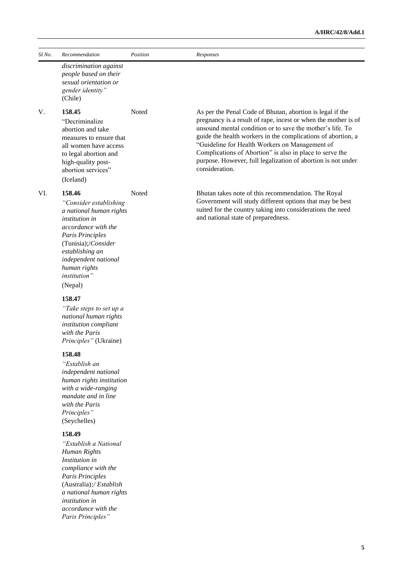#### **A/HRC/42/8/Add.1**

| SI No. | Recommendation                                                                                                                                                                                                                               | Position | Responses                                                                                                                                                                                                                                                                                                                                                                                                                                                |
|--------|----------------------------------------------------------------------------------------------------------------------------------------------------------------------------------------------------------------------------------------------|----------|----------------------------------------------------------------------------------------------------------------------------------------------------------------------------------------------------------------------------------------------------------------------------------------------------------------------------------------------------------------------------------------------------------------------------------------------------------|
|        | discrimination against<br>people based on their<br>sexual orientation or<br>gender identity"<br>(Chile)                                                                                                                                      |          |                                                                                                                                                                                                                                                                                                                                                                                                                                                          |
| V.     | 158.45<br>"Decriminalize<br>abortion and take<br>measures to ensure that<br>all women have access<br>to legal abortion and<br>high-quality post-<br>abortion services"<br>(Iceland)                                                          | Noted    | As per the Penal Code of Bhutan, abortion is legal if the<br>pregnancy is a result of rape, incest or when the mother is of<br>unsound mental condition or to save the mother's life. To<br>guide the health workers in the complications of abortion, a<br>"Guideline for Health Workers on Management of<br>Complications of Abortion" is also in place to serve the<br>purpose. However, full legalization of abortion is not under<br>consideration. |
| VI.    | 158.46<br>"Consider establishing<br>a national human rights<br><i>institution in</i><br>accordance with the<br>Paris Principles<br>(Tunisia);/Consider<br>establishing an<br>independent national<br>human rights<br>institution"<br>(Nepal) | Noted    | Bhutan takes note of this recommendation. The Royal<br>Government will study different options that may be best<br>suited for the country taking into considerations the need<br>and national state of preparedness.                                                                                                                                                                                                                                     |
|        | 158.47<br>"Take steps to set up a<br>national human rights<br>institution compliant<br>with the Paris<br>Principles" (Ukraine)                                                                                                               |          |                                                                                                                                                                                                                                                                                                                                                                                                                                                          |
|        | 158.48<br>"Establish an<br>independent national<br>human rights institution<br>with a wide-ranging<br>mandate and in line<br>with the Paris<br>Principles"<br>(Seychelles)                                                                   |          |                                                                                                                                                                                                                                                                                                                                                                                                                                                          |
|        | 158.49<br>"Establish a National<br>Human Rights<br>Institution in<br>compliance with the<br>Paris Principles<br>(Australia);/Establish<br>a national human rights<br><i>institution in</i><br>accordance with the<br>Paris Principles"       |          |                                                                                                                                                                                                                                                                                                                                                                                                                                                          |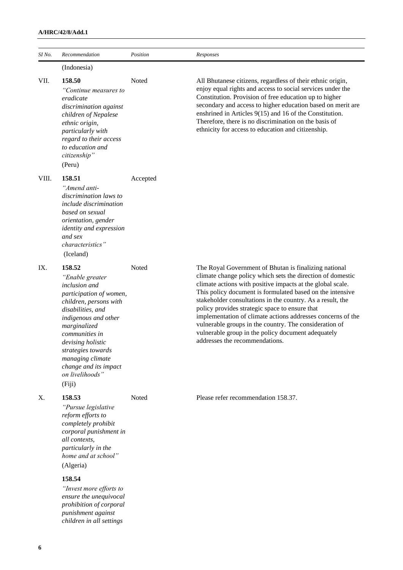| SI No. | Recommendation                                                                                                                                                                                                                                                                                             | Position | Responses                                                                                                                                                                                                                                                                                                                                                                                                                                                                                                                                                                       |
|--------|------------------------------------------------------------------------------------------------------------------------------------------------------------------------------------------------------------------------------------------------------------------------------------------------------------|----------|---------------------------------------------------------------------------------------------------------------------------------------------------------------------------------------------------------------------------------------------------------------------------------------------------------------------------------------------------------------------------------------------------------------------------------------------------------------------------------------------------------------------------------------------------------------------------------|
|        | (Indonesia)                                                                                                                                                                                                                                                                                                |          |                                                                                                                                                                                                                                                                                                                                                                                                                                                                                                                                                                                 |
| VII.   | 158.50<br>"Continue measures to<br>eradicate<br>discrimination against<br>children of Nepalese<br>ethnic origin,<br>particularly with<br>regard to their access<br>to education and<br>citizenship"<br>(Peru)                                                                                              | Noted    | All Bhutanese citizens, regardless of their ethnic origin,<br>enjoy equal rights and access to social services under the<br>Constitution. Provision of free education up to higher<br>secondary and access to higher education based on merit are<br>enshrined in Articles $9(15)$ and 16 of the Constitution.<br>Therefore, there is no discrimination on the basis of<br>ethnicity for access to education and citizenship.                                                                                                                                                   |
| VIII.  | 158.51<br>"Amend anti-<br>discrimination laws to<br><i>include discrimination</i><br>based on sexual<br>orientation, gender<br>identity and expression<br>and sex<br><i>characteristics</i> "<br>(Iceland)                                                                                                 | Accepted |                                                                                                                                                                                                                                                                                                                                                                                                                                                                                                                                                                                 |
| IX.    | 158.52<br>"Enable greater<br><i>inclusion</i> and<br>participation of women,<br>children, persons with<br>disabilities, and<br>indigenous and other<br>marginalized<br>communities in<br>devising holistic<br>strategies towards<br>managing climate<br>change and its impact<br>on livelihoods"<br>(Fiji) | Noted    | The Royal Government of Bhutan is finalizing national<br>climate change policy which sets the direction of domestic<br>climate actions with positive impacts at the global scale.<br>This policy document is formulated based on the intensive<br>stakeholder consultations in the country. As a result, the<br>policy provides strategic space to ensure that<br>implementation of climate actions addresses concerns of the<br>vulnerable groups in the country. The consideration of<br>vulnerable group in the policy document adequately<br>addresses the recommendations. |
| Χ.     | 158.53<br>"Pursue legislative<br>reform efforts to<br>completely prohibit<br>corporal punishment in<br>all contexts,<br>particularly in the<br>home and at school"<br>(Algeria)                                                                                                                            | Noted    | Please refer recommendation 158.37.                                                                                                                                                                                                                                                                                                                                                                                                                                                                                                                                             |

## **158.54**

*"Invest more efforts to ensure the unequivocal prohibition of corporal punishment against children in all settings*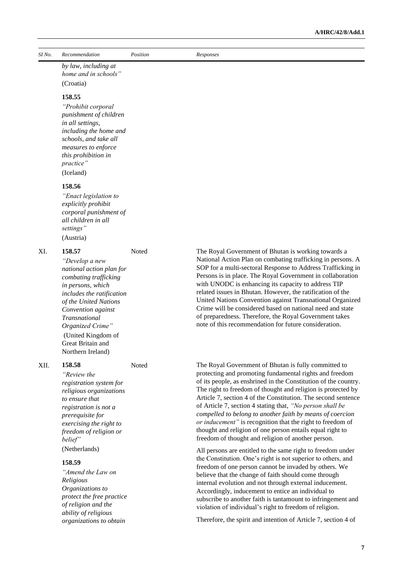*SI No. Recommendation Position Responses*

*by law, including at home and in schools"*  (Croatia)

#### **158.55**

*"Prohibit corporal punishment of children in all settings, including the home and schools, and take all measures to enforce this prohibition in practice"* (Iceland)

#### **158.56**

*"Enact legislation to explicitly prohibit corporal punishment of all children in all settings"* (Austria)

XI. **158.57** 

*"Develop a new national action plan for combating trafficking in persons, which includes the ratification of the United Nations Convention against Transnational Organized Crime"* (United Kingdom of Great Britain and Northern Ireland)

#### XII. **158.58**

*"Review the registration system for religious organizations to ensure that registration is not a prerequisite for exercising the right to freedom of religion or belief"* (Netherlands)

### **158.59**

*"Amend the Law on Religious Organizations to protect the free practice of religion and the ability of religious organizations to obtain* 

Noted The Royal Government of Bhutan is working towards a National Action Plan on combating trafficking in persons. A SOP for a multi-sectoral Response to Address Trafficking in Persons is in place. The Royal Government in collaboration with UNODC is enhancing its capacity to address TIP related issues in Bhutan. However, the ratification of the United Nations Convention against Transnational Organized Crime will be considered based on national need and state of preparedness. Therefore, the Royal Government takes note of this recommendation for future consideration.

Noted The Royal Government of Bhutan is fully committed to protecting and promoting fundamental rights and freedom of its people, as enshrined in the Constitution of the country. The right to freedom of thought and religion is protected by Article 7, section 4 of the Constitution. The second sentence of Article 7, section 4 stating that, *"No person shall be compelled to belong to another faith by means of coercion or inducement"* is recognition that the right to freedom of thought and religion of one person entails equal right to freedom of thought and religion of another person.

> All persons are entitled to the same right to freedom under the Constitution. One's right is not superior to others, and freedom of one person cannot be invaded by others. We believe that the change of faith should come through internal evolution and not through external inducement. Accordingly, inducement to entice an individual to subscribe to another faith is tantamount to infringement and violation of individual's right to freedom of religion.

Therefore, the spirit and intention of Article 7, section 4 of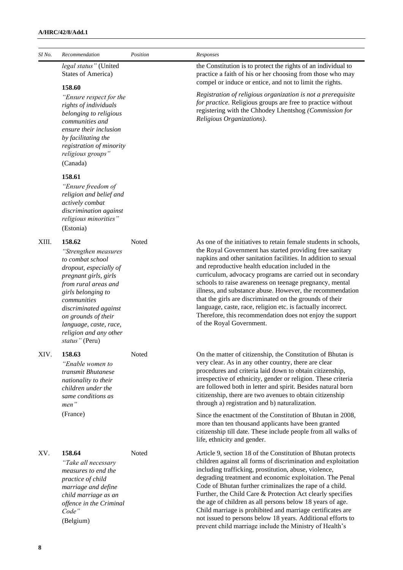| SI No. | Recommendation                                                                                                                                                                                                                                                                           | Position | Responses                                                                                                                                                                                                                                                                                                                                                                                                                                                                                                                                                                                                                                                     |
|--------|------------------------------------------------------------------------------------------------------------------------------------------------------------------------------------------------------------------------------------------------------------------------------------------|----------|---------------------------------------------------------------------------------------------------------------------------------------------------------------------------------------------------------------------------------------------------------------------------------------------------------------------------------------------------------------------------------------------------------------------------------------------------------------------------------------------------------------------------------------------------------------------------------------------------------------------------------------------------------------|
|        | legal status" (United<br><b>States of America)</b>                                                                                                                                                                                                                                       |          | the Constitution is to protect the rights of an individual to<br>practice a faith of his or her choosing from those who may<br>compel or induce or entice, and not to limit the rights.                                                                                                                                                                                                                                                                                                                                                                                                                                                                       |
|        | 158.60<br>"Ensure respect for the<br>rights of individuals<br>belonging to religious<br>communities and<br>ensure their inclusion<br>by facilitating the<br>registration of minority<br>religious groups"<br>(Canada)                                                                    |          | Registration of religious organization is not a prerequisite<br>for practice. Religious groups are free to practice without<br>registering with the Chhodey Lhentshog (Commission for<br>Religious Organizations).                                                                                                                                                                                                                                                                                                                                                                                                                                            |
|        | 158.61<br>"Ensure freedom of<br>religion and belief and<br>actively combat<br>discrimination against<br>religious minorities"<br>(Estonia)                                                                                                                                               |          |                                                                                                                                                                                                                                                                                                                                                                                                                                                                                                                                                                                                                                                               |
| XIII.  | 158.62<br>"Strengthen measures<br>to combat school<br>dropout, especially of<br>pregnant girls, girls<br>from rural areas and<br>girls belonging to<br>communities<br>discriminated against<br>on grounds of their<br>language, caste, race,<br>religion and any other<br>status" (Peru) | Noted    | As one of the initiatives to retain female students in schools,<br>the Royal Government has started providing free sanitary<br>napkins and other sanitation facilities. In addition to sexual<br>and reproductive health education included in the<br>curriculum, advocacy programs are carried out in secondary<br>schools to raise awareness on teenage pregnancy, mental<br>illness, and substance abuse. However, the recommendation<br>that the girls are discriminated on the grounds of their<br>language, caste, race, religion etc. is factually incorrect.<br>Therefore, this recommendation does not enjoy the support<br>of the Royal Government. |
| XIV.   | 158.63<br>"Enable women to<br>transmit Bhutanese<br>nationality to their<br>children under the<br>same conditions as<br>men"<br>(France)                                                                                                                                                 | Noted    | On the matter of citizenship, the Constitution of Bhutan is<br>very clear. As in any other country, there are clear<br>procedures and criteria laid down to obtain citizenship,<br>irrespective of ethnicity, gender or religion. These criteria<br>are followed both in letter and spirit. Besides natural born<br>citizenship, there are two avenues to obtain citizenship<br>through a) registration and b) naturalization.<br>Since the enactment of the Constitution of Bhutan in 2008,                                                                                                                                                                  |
|        |                                                                                                                                                                                                                                                                                          |          | more than ten thousand applicants have been granted<br>citizenship till date. These include people from all walks of<br>life, ethnicity and gender.                                                                                                                                                                                                                                                                                                                                                                                                                                                                                                           |
| XV.    | 158.64<br>"Take all necessary<br>measures to end the<br>practice of child<br>marriage and define<br>child marriage as an<br>offence in the Criminal<br>Code"<br>(Belgium)                                                                                                                | Noted    | Article 9, section 18 of the Constitution of Bhutan protects<br>children against all forms of discrimination and exploitation<br>including trafficking, prostitution, abuse, violence,<br>degrading treatment and economic exploitation. The Penal<br>Code of Bhutan further criminalizes the rape of a child.<br>Further, the Child Care & Protection Act clearly specifies<br>the age of children as all persons below 18 years of age.<br>Child marriage is prohibited and marriage certificates are<br>not issued to persons below 18 years. Additional efforts to<br>prevent child marriage include the Ministry of Health's                             |